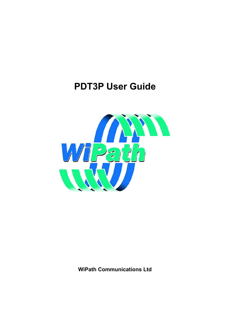# <span id="page-0-0"></span>**PDT3P User Guide**



**WiPath Communications Ltd**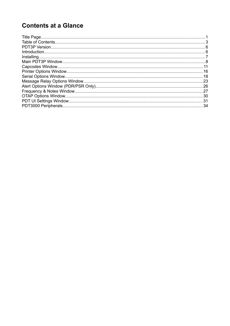# **Contents at a Glance**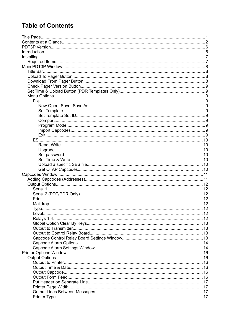# <span id="page-2-0"></span>**Table of Contents**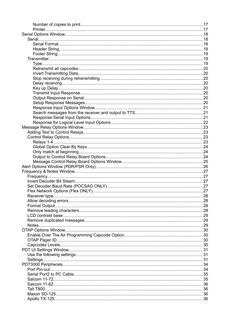| Tait T800 |  |
|-----------|--|
|           |  |
|           |  |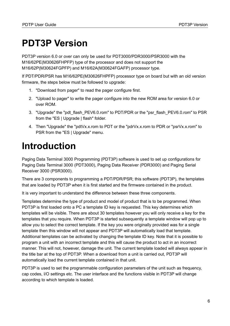# <span id="page-5-1"></span>**PDT3P Version**

PDT3P version 6.0 or over can only be used for PDT3000/PDR3000/PSR3000 with the M16/62PE(M30626FHPFP) type of the processor and does not support the M16/62P(M30624FGPFP) and M16/62A(M30624FGAFP) processor type.

If PDT/PDR/PSR has M16/62PE(M30626FHPFP) processor type on board but with an old version firmware, the steps below must be followed to upgrade:

- 1. "Download from pager" to read the pager configure first.
- 2. "Upload to pager" to write the pager configure into the new ROM area for version 6.0 or over ROM.
- 3. "Upgrade" the "pdt\_flash\_PEV6.0.rom" to PDT/PDR or the "psr\_flash\_PEV6.0.rom" to PSR from the "ES | Upgrade | flash" folder.
- 4. Then "Upgrade" the "pdtVx.x.rom to PDT or the "pdrVx.x.rom to PDR or "psrVx.x.rom" to PSR from the "ES | Upgrade" menu.

# <span id="page-5-0"></span>**Introduction**

Paging Data Terminal 3000 Programming (PDT3P) software is used to set up configurations for Paging Data Terminal 3000 (PDT3000), Paging Data Receiver (PDR3000) and Paging Serial Receiver 3000 (PSR3000).

There are 3 components to programming a PDT/PDR/PSR; this software (PDT3P), the templates that are loaded by PDT3P when it is first started and the firmware contained in the product.

It is very important to understand the difference between these three components.

Templates determine the type of product and model of product that is to be programmed. When PDT3P is first loaded onto a PC a template ID key is requested. This key determines which templates will be visible. There are about 30 templates however you will only receive a key for the templates that you require. When PDT3P is started subsequently a template window will pop up to allow you to select the correct template. If the key you were originally provided was for a single template then this window will not appear and PDT3P will automatically load that template. Additional templates can be activated by changing the template ID key. Note that it is possible to program a unit with an incorrect template and this will cause the product to act in an incorrect manner. This will not, however, damage the unit. The current template loaded will always appear in the title bar at the top of PDT3P. When a download from a unit is carried out, PDT3P will automatically load the current template contained in that unit.

PDT3P is used to set the programmable configuration parameters of the unit such as frequency, cap codes, I/O settings etc. The user interface and the functions visible in PDT3P will change according to which template is loaded.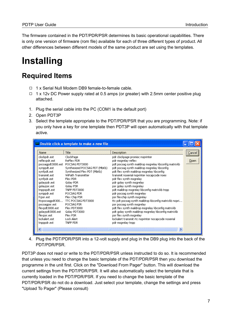The firmware contained in the PDT/PDR/PSR determines its basic operational capabilities. There is only one version of firmware (rom file) available for each of three different types of product. All other differences between different models of the same product are set using the templates.

# <span id="page-6-0"></span>**Installing**

## <span id="page-6-1"></span>**Required Items**

- ◻ 1 x Serial Null Modem DB9 female-to-female cable.
- ◻ 1 x 12v DC Power supply rated at 0.5 amps (or greater) with 2.5mm center positive plug attached.
- 1. Plug the serial cable into the PC (COM1 is the default port)
- 2. Open PDT3P
- 3. Select the template appropriate to the PDT/PDR/PSR that you are programming. Note: if you only have a key for one template then PDT3P will open automatically with that template active.

| Name             | Title                            | Description                                           | Cancel |
|------------------|----------------------------------|-------------------------------------------------------|--------|
| clockpdr.est     | ClockPage                        | pdr clockpage promisc noprinter                       |        |
| reflexpdr.est    | ReFlex PDR                       | pdr msgrelay reflex                                   | Open   |
|                  | pocsagpdt3000.est POCSAG PDT3000 | pdt pocsag synth maildrop msgrelay kbconfig matrixkb. |        |
| synppdt.est      | Synthesized POCSAG PDT (MbKb)    | pdt pocsag synth maildrop msgrelay kbconfig.          |        |
| synfpdt.est      | Synthesized Flex PDT (MbKb)      | pdt flex synth maildrop msgrelay kbconfig.            |        |
| transmit.est     | WiPath Transmitter               | transmit noserial noprinter nocapcode noes            |        |
| synfpdr.est      | Flex PDR                         | pdr flex synth msgrelay                               |        |
| golaypdr.est     | Golay PDR                        | pdr golay synth msgrelay                              |        |
| golaypsr.est     | Golay PSR                        | psr golay synth msgrelay                              |        |
| tnppspdt.est     | TNPP PDT3000                     | pdt maildrop msgrelay kbconfig matrixkb tnpp          |        |
| synppdr.est      | POCSAG PDR                       | pdr pocsag synth msgrelay                             |        |
| fcpsr.est        | Flex Chip PSR                    | psr flexchip synth msgrelay                           |        |
| ttcpocsagpdt300  | TTC POCSAG PDT3000               | tte pdt poesag synth maildrop kbeonfig matrixkb nopri |        |
| pocsagpsr.est    | POCSAG PSR                       | psr pocsag synth msgrelay                             |        |
| flexpdt3000.est  | Flex PDT3000                     | pdt flex synth maildrop msgrelay kbconfig matrixkb.   |        |
| golaypdt3000.est | Golay PDT3000                    | pdt golay synth maildrop msgrelay kbconfig matrixkb.  |        |
| flexpsr.est      | Flex PSR                         | psr flex synth msgrelay                               |        |
| lockalert.est    | Lock Alert                       | lockalert transmit rtc noprinter nocapcode noserial   |        |
| tnpppdr.est      | TNPP PDR                         | pdr msgrelay tnpp                                     |        |

4. Plug the PDT/PDR/PSR into a 12-volt supply and plug in the DB9 plug into the back of the PDT/PDR/PSR.

PDT3P does not read or write to the PDT/PDR/PSR unless instructed to do so. It is recommended that unless you need to change the basic template of the PDT/PDR/PSR then you download the programme in the unit first. Click on the "Download From Pager" button. This will download the current settings from the PDT/PDR/PSR. It will also automatically select the template that is currently loaded in the PDT/PDR/PSR. If you need to change the basic template of the PDT/PDR/PSR do not do a download. Just select your template, change the settings and press "Upload To Pager" (Please consult)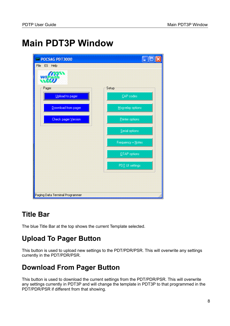# <span id="page-7-0"></span>**Main PDT3P Window**



# <span id="page-7-3"></span>**Title Bar**

The blue Title Bar at the top shows the current Template selected.

# <span id="page-7-2"></span>**Upload To Pager Button**

This button is used to upload new settings to the PDT/PDR/PSR. This will overwrite any settings currently in the PDT/PDR/PSR.

# <span id="page-7-1"></span>**Download From Pager Button**

This button is used to download the current settings from the PDT/PDR/PSR. This will overwrite any settings currently in PDT3P and will change the template in PDT3P to that programmed in the PDT/PDR/PSR if different from that showing.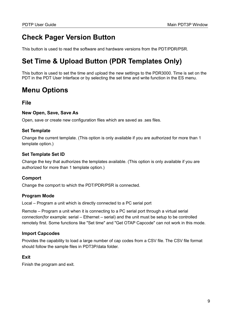# <span id="page-8-10"></span>**Check Pager Version Button**

This button is used to read the software and hardware versions from the PDT/PDR/PSR.

# <span id="page-8-9"></span>**Set Time & Upload Button (PDR Templates Only)**

This button is used to set the time and upload the new settings to the PDR3000. Time is set on the PDT in the PDT User Interface or by selecting the set time and write function in the ES menu.

# <span id="page-8-8"></span>**Menu Options**

#### <span id="page-8-7"></span>**File**

#### <span id="page-8-6"></span>**New Open, Save, Save As**

Open, save or create new configuration files which are saved as .ses files.

#### <span id="page-8-5"></span>**Set Template**

Change the current template. (This option is only available if you are authorized for more than 1 template option.)

#### <span id="page-8-4"></span>**Set Template Set ID**

Change the key that authorizes the templates available. (This option is only available if you are authorized for more than 1 template option.)

#### <span id="page-8-3"></span>**Comport**

Change the comport to which the PDT/PDR/PSR is connected.

#### <span id="page-8-2"></span>**Program Mode**

Local – Program a unit which is directly connected to a PC serial port

Remote – Program a unit when it is connecting to a PC serial port through a virtual serial connection(for example: serial – Ethernet – serial) and the unit must be setup to be controlled remotely first. Some functions like "Set time" and "Get OTAP Capcode" can not work in this mode.

#### <span id="page-8-1"></span>**Import Capcodes**

Provides the capability to load a large number of cap codes from a CSV file. The CSV file format should follow the sample files in PDT3P/data folder.

#### <span id="page-8-0"></span>**Exit**

Finish the program and exit.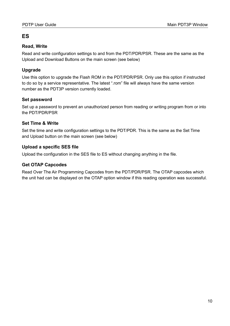#### <span id="page-9-6"></span>**ES**

#### <span id="page-9-5"></span>**Read, Write**

Read and write configuration settings to and from the PDT/PDR/PSR. These are the same as the Upload and Download Buttons on the main screen (see below)

#### <span id="page-9-4"></span>**Upgrade**

Use this option to upgrade the Flash ROM in the PDT/PDR/PSR. Only use this option if instructed to do so by a service representative. The latest ".rom" file will always have the same version number as the PDT3P version currently loaded.

#### <span id="page-9-3"></span>**Set password**

Set up a password to prevent an unauthorized person from reading or writing program from or into the PDT/PDR/PSR

#### <span id="page-9-2"></span>**Set Time & Write**

Set the time and write configuration settings to the PDT/PDR. This is the same as the Set Time and Upload button on the main screen (see below)

#### <span id="page-9-1"></span>**Upload a specific SES file**

Upload the configuration in the SES file to ES without changing anything in the file.

#### <span id="page-9-0"></span>**Get OTAP Capcodes**

Read Over The Air Programming Capcodes from the PDT/PDR/PSR. The OTAP capcodes which the unit had can be displayed on the OTAP option window if this reading operation was successful.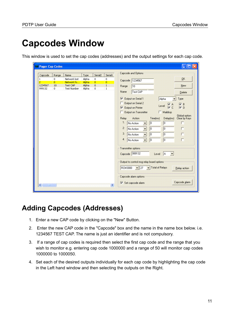# <span id="page-10-0"></span>**Capcodes Window**

This window is used to set the cap codes (addresses) and the output settings for each cap code.

| Capcode        | Range          | Name               | Type  | Serial <sub>2</sub> | Serial1        | Capcode and Options                                                                                                                                                                                                      |  |
|----------------|----------------|--------------------|-------|---------------------|----------------|--------------------------------------------------------------------------------------------------------------------------------------------------------------------------------------------------------------------------|--|
| $\mathbf{1}$   | $\mathbf 0$    | Network lost       | Alpha | 0                   | $\mathbf 0$    | QK<br>Capcode 1234567                                                                                                                                                                                                    |  |
| $\overline{2}$ | $\overline{0}$ | Network fo         | Alpha | $\overline{0}$      | $\overline{0}$ |                                                                                                                                                                                                                          |  |
| 1234567        | 10             | Test CAP           | Alpha | 0                   | $\,$ 1 $\,$    | New<br>Range<br>10                                                                                                                                                                                                       |  |
| 999132         | $\overline{0}$ | <b>Test Number</b> | Alpha | 0                   | $\mathbf{1}$   | Name<br>Test CAP<br>Delete                                                                                                                                                                                               |  |
|                |                |                    |       |                     |                | Output on Serial 1<br>Alpha<br>Γ<br>Type                                                                                                                                                                                 |  |
|                |                |                    |       |                     |                | Output on Serial 2                                                                                                                                                                                                       |  |
|                |                |                    |       |                     |                | $\nabla B$<br>Level: $\overline{\phantom{a}}$ $\overline{\phantom{a}}$ $\overline{\phantom{a}}$ $\overline{\phantom{a}}$ $\overline{\phantom{a}}$ $\overline{\phantom{a}}$<br>$\overline{V}$ D<br>Output on Printer<br>Γ |  |
|                |                |                    |       |                     |                |                                                                                                                                                                                                                          |  |
|                |                |                    |       |                     |                | Output on Transmitter<br>Maildrop<br>Global option:                                                                                                                                                                      |  |
|                |                |                    |       |                     |                | Relay<br>Action<br>Time[ms]<br>Delay[ms]<br>Clear by Keys                                                                                                                                                                |  |
|                |                |                    |       |                     |                | $\mathbf{1}$<br>$\overline{10}$<br>lo<br>No Action<br>$\overline{\phantom{a}}$                                                                                                                                           |  |
|                |                |                    |       |                     |                | 2:<br>П<br>$\boxed{0}$<br>o<br>No Action<br>$\blacksquare$                                                                                                                                                               |  |
|                |                |                    |       |                     |                | 3.<br>$\sqrt{a}$<br>п<br>0<br>No Action<br>÷                                                                                                                                                                             |  |
|                |                |                    |       |                     |                | 4:<br> 0 <br>$\boxed{0}$<br>No Action<br>$\overline{\phantom{a}}$                                                                                                                                                        |  |
|                |                |                    |       |                     |                | Transmitter options                                                                                                                                                                                                      |  |
|                |                |                    |       |                     |                |                                                                                                                                                                                                                          |  |
|                |                |                    |       |                     |                | Capcode 999132<br>Level<br>IA.                                                                                                                                                                                           |  |
|                |                |                    |       |                     |                | Output to control msg relay board options                                                                                                                                                                                |  |
|                |                |                    |       |                     |                | Total of Relays<br>RCM3000<br>$\mathbf{H}$ 27<br>Relay action                                                                                                                                                            |  |
|                |                |                    |       |                     |                | Capcode alarm options                                                                                                                                                                                                    |  |
|                |                |                    |       |                     |                | Capcode alarm<br>$\overline{\mathsf{v}}$ Set capcode alarm                                                                                                                                                               |  |

### <span id="page-10-1"></span>**Adding Capcodes (Addresses)**

- 1. Enter a new CAP code by clicking on the "New" Button.
- 2. Enter the new CAP code in the "Capcode" box and the name in the name box below. i.e. 1234567 TEST CAP. The name is just an identifier and is not compulsory.
- 3. If a range of cap codes is required then select the first cap code and the range that you wish to monitor e.g. entering cap code 1000000 and a range of 50 will monitor cap codes 1000000 to 1000050.
- 4. Set each of the desired outputs individually for each cap code by highlighting the cap code in the Left hand window and then selecting the outputs on the Right.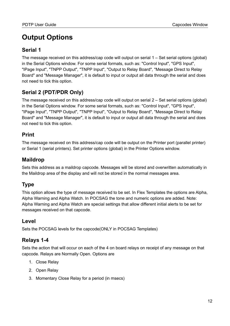# <span id="page-11-7"></span>**Output Options**

#### <span id="page-11-6"></span>**Serial 1**

The message received on this address/cap code will output on serial  $1 - Set$  serial options (global) in the Serial Options window. For some serial formats, such as: "Control Input", "GPS Input", "IPage Input", "TNPP Output", "TNPP Input", "Output to Relay Board", "Message Direct to Relay Board" and "Message Manager", it is default to input or output all data through the serial and does not need to tick this option.

#### <span id="page-11-5"></span>**Serial 2 (PDT/PDR Only)**

The message received on this address/cap code will output on serial 2 – Set serial options (global) in the Serial Options window. For some serial formats, such as: "Control Input", "GPS Input", "IPage Input", "TNPP Output", "TNPP Input", "Output to Relay Board", "Message Direct to Relay Board" and "Message Manager", it is default to input or output all data through the serial and does not need to tick this option.

#### <span id="page-11-4"></span>**Print**

The message received on this address/cap code will be output on the Printer port (parallel printer) or Serial 1 (serial printers). Set printer options (global) in the Printer Options window.

#### <span id="page-11-3"></span>**Maildrop**

Sets this address as a maildrop capcode. Messages will be stored and overwritten automatically in the Maildrop area of the display and will not be stored in the normal messages area.

#### <span id="page-11-2"></span>**Type**

This option allows the type of message received to be set. In Flex Templates the options are Alpha, Alpha Warning and Alpha Watch. In POCSAG the tone and numeric options are added. Note: Alpha Warning and Alpha Watch are special settings that allow different initial alerts to be set for messages received on that capcode.

#### <span id="page-11-1"></span>**Level**

Sets the POCSAG levels for the capcode(ONLY in POCSAG Templates)

#### <span id="page-11-0"></span>**Relays 1-4**

Sets the action that will occur on each of the 4 on board relays on receipt of any message on that capcode. Relays are Normally Open. Options are

- 1. Close Relay
- 2. Open Relay
- 3. Momentary Close Relay for a period (in msecs)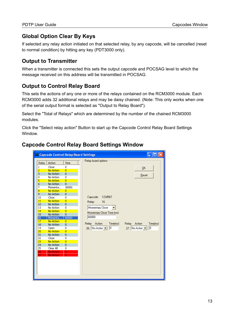#### <span id="page-12-3"></span>**Global Option Clear By Keys**

If selected any relay action initiated on that selected relay, by any capcode, will be cancelled (reset to normal condition) by hitting any key (PDT3000 only).

#### <span id="page-12-2"></span>**Output to Transmitter**

When a transmitter is connected this sets the output capcode and POCSAG level to which the message received on this address will be transmitted in POCSAG.

#### <span id="page-12-1"></span>**Output to Control Relay Board**

This sets the actions of any one or more of the relays contained on the RCM3000 module. Each RCM3000 adds 32 additional relays and may be daisy chained. (Note: This only works when one of the serial output format is selected as "Output to Relay Board").

Select the "Total of Relays" which are determined by the number of the chained RCM3000 modules.

Click the "Select relay action" Button to start up the Capcode Control Relay Board Settings Window.

#### <span id="page-12-0"></span>**Capcode Control Relay Board Settings Window**

| Relay                   | Action                 | Time                             | Relay board options         |                             |
|-------------------------|------------------------|----------------------------------|-----------------------------|-----------------------------|
|                         |                        |                                  |                             |                             |
| 1                       | Close                  | 0                                |                             | QK                          |
| $\overline{\mathbf{2}}$ | <b>No Action</b>       | $\overline{0}$                   |                             |                             |
| 3<br>4                  | No Action<br>No Action | $\overline{0}$<br>$\overline{0}$ |                             | Reset                       |
| 5                       | <b>No Action</b>       | $\overline{0}$                   |                             |                             |
| $\mathbf{6}$            | No Action              | $\overline{0}$                   |                             |                             |
| 7                       | Momenta                | 30000                            |                             |                             |
| 8                       | <b>No Action</b>       | $\overline{0}$                   |                             |                             |
| $\overline{9}$          | No Action              | $\mathbf 0$                      |                             |                             |
| 10                      | Close                  | $\mathbf 0$                      | 1234567<br>Capcode:         |                             |
| 11                      | <b>No Action</b>       | $\overline{0}$                   |                             |                             |
| 12                      | No Action              | $\bf{0}$                         | Relay:<br>16                |                             |
| 13                      | No Action              | $\overline{0}$                   | Momentary Close             |                             |
| 14                      | <b>No Action</b>       | $\overline{0}$                   |                             |                             |
| 15                      | No Action              | $\mathbf 0$                      | Momentary Close Time [ms]   |                             |
| 16                      | Momenta                | 60000                            | 60000                       |                             |
| 17                      | No Action              | $\overline{0}$                   |                             |                             |
| 18                      | No Action              | $\boldsymbol{0}$                 | Action<br>Relay<br>Time(ms) | Action<br>Time[ms]<br>Relay |
| 19                      | Open                   | $\overline{0}$                   | 10<br>26: No Action         | $\sqrt{0}$<br>27: No Action |
| 20                      | <b>No Action</b>       | $\overline{0}$                   |                             |                             |
| 21                      | No Action              | $\bf{0}$                         |                             |                             |
| 22                      | Close                  | $\overline{0}$                   |                             |                             |
| 23                      | <b>No Action</b>       | $\overline{0}$                   |                             |                             |
| 24                      | No Action              | $\overline{0}$                   |                             |                             |
| 25                      | Clear All              | 0                                |                             |                             |
| 26                      | No Action              | $\bf{0}$                         |                             |                             |
| 27                      | <b>No Action</b>       | 0                                |                             |                             |
|                         |                        |                                  |                             |                             |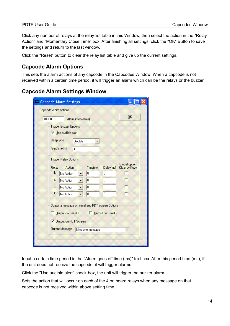Click any number of relays at the relay list table in this Window, then select the action in the "Relay Action" and "Momentary Close Time" box. After finishing all settings, click the "OK" Button to save the settings and return to the last window.

Click the "Reset" button to clear the relay list table and give up the current settings.

#### <span id="page-13-1"></span>**Capcode Alarm Options**

This sets the alarm actions of any capcode in the Capcodes Window. When a capcode is not received within a certain time period, it will trigger an alarm which can be the relays or the buzzer.

#### <span id="page-13-0"></span>**Capcode Alarm Settings Window**

| 100000       |                                                                    | Alarm interval(ms) |                                                   |           | <b>OK</b>                       |
|--------------|--------------------------------------------------------------------|--------------------|---------------------------------------------------|-----------|---------------------------------|
|              | <b>Trigger Buzzer Options</b><br>$\triangledown$ Use audible alert |                    |                                                   |           |                                 |
| Beep type    |                                                                    | Double             |                                                   |           |                                 |
|              | Alert time [s]                                                     | 1                  |                                                   |           |                                 |
|              |                                                                    |                    |                                                   |           |                                 |
| Relay        | <b>Trigger Relay Options</b><br>Action                             |                    | Time(ms)                                          | Delay(ms) | Global option:<br>Clear by Keys |
| $\mathbf{1}$ | No Action                                                          |                    | 0                                                 | 0         |                                 |
| $\mathbf{2}$ | No Action                                                          |                    | 0                                                 | 0         |                                 |
| 3:           | No Action                                                          |                    | 0                                                 | 0         |                                 |
| 4.           | No Action                                                          |                    | 0                                                 | О         |                                 |
|              |                                                                    |                    | Output a message on serial and PDT screen Options |           |                                 |
|              |                                                                    |                    | □ Output on Serial 1 □ Output on Serial 2         |           |                                 |
|              |                                                                    |                    |                                                   |           |                                 |
|              | <b>▽</b> Dutput on PDT Screen                                      |                    |                                                   |           |                                 |
|              | <b>Output Message</b>                                              |                    | Miss one message                                  |           |                                 |

Input a certain time period in the "Alarm goes off time (ms)" text-box. After this period time (ms), if the unit does not receive the capcode, it will trigger alarms.

Click the "Use audible alert" check-box, the unit will trigger the buzzer alarm.

Sets the action that will occur on each of the 4 on board relays when any message on that capcode is not received within above setting time.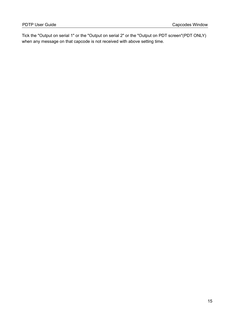Tick the "Output on serial 1" or the "Output on serial 2" or the "Output on PDT screen"(PDT ONLY) when any message on that capcode is not received with above setting time.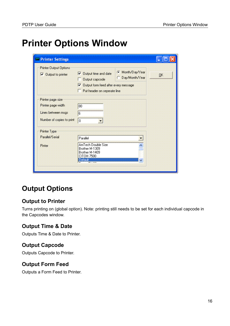# <span id="page-15-0"></span>**Printer Options Window**

| <b>Printer Settings</b>                                                                                    |                                                                                                                                                                                     |    |
|------------------------------------------------------------------------------------------------------------|-------------------------------------------------------------------------------------------------------------------------------------------------------------------------------------|----|
| <b>Printer Output Options</b><br>$\triangledown$ Output to printer                                         | Month/Day/Year<br>$\overline{\triangledown}$ Output time and date<br>C Day/Month/Year<br>Output capcode<br>Output form feed after every message<br>П<br>Put header on seperate line | QK |
| Printer page size<br>Printer page width<br>Lines between msgs<br>Number of copies to print<br>Printer Type | 80<br>6<br>$\overline{0}$                                                                                                                                                           |    |
| Parallel/Serial<br>Pinter                                                                                  | Parallel<br>۰<br>AmTech Double Size<br>Brother M-1309<br>Brother M-1409<br>CITOH 7500<br>Default<br>Ÿ<br>$-100$                                                                     |    |

# <span id="page-15-5"></span>**Output Options**

#### <span id="page-15-4"></span>**Output to Printer**

Turns printing on (global option). Note: printing still needs to be set for each individual capcode in the Capcodes window.

#### <span id="page-15-3"></span>**Output Time & Date**

Outputs Time & Date to Printer.

#### <span id="page-15-2"></span>**Output Capcode**

Outputs Capcode to Printer.

#### <span id="page-15-1"></span>**Output Form Feed**

Outputs a Form Feed to Printer.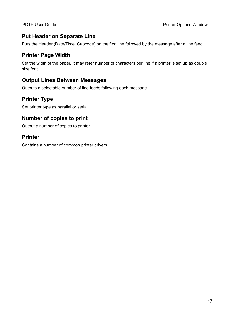#### <span id="page-16-3"></span>**Put Header on Separate Line**

Puts the Header (Date/Time, Capcode) on the first line followed by the message after a line feed.

#### <span id="page-16-2"></span>**Printer Page Width**

Set the width of the paper. It may refer number of characters per line if a printer is set up as double size font.

#### <span id="page-16-1"></span>**Output Lines Between Messages**

Outputs a selectable number of line feeds following each message.

#### <span id="page-16-0"></span>**Printer Type**

Set printer type as parallel or serial.

#### <span id="page-16-5"></span>**Number of copies to print**

Output a number of copies to printer

#### <span id="page-16-4"></span>**Printer**

Contains a number of common printer drivers.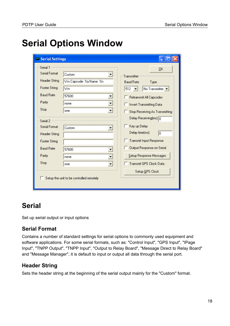# <span id="page-17-0"></span>**Serial Options Window**

| Serial Settings      |                                          |                                                         |
|----------------------|------------------------------------------|---------------------------------------------------------|
| Serial 1             |                                          | 0K                                                      |
| <b>Serial Format</b> | Custom                                   | Transmitter                                             |
| <b>Header String</b> | Vin Capcode: %a Name: %n                 | <b>Baud Rate</b><br>Type                                |
| <b>Footer String</b> | \r\n                                     | No Transmitter $\blacktriangleright$<br>$512$ $\bullet$ |
| <b>Baud Rate</b>     | 57600                                    | Retransmit All Capcodes                                 |
| Parity               | $\mathbf{r}$<br>none                     | <b>F</b> Invert Transmitting Data                       |
| Stop                 | $\overline{\phantom{a}}$<br>one          | Stop Receiving As Transmitting                          |
| Serial 2             |                                          | Delay Receiving(ms): 0                                  |
| <b>Serial Format</b> | Custom                                   | Key up Delay                                            |
| <b>Header String</b> |                                          | Delay time(ms):<br>0                                    |
| <b>Footer String</b> |                                          | <b>Transmit Input Response</b>                          |
| <b>Baud Rate</b>     | 57600                                    | Output Response on Serial                               |
| Parity               | none<br>$\overline{\phantom{a}}$         | Setup Response Messages                                 |
| Stop                 | $\blacksquare$<br>one                    | Transmit GPS Clock Data                                 |
|                      |                                          | Setup GPS Clock                                         |
|                      | Setup the unit to be controlled remotely |                                                         |

## <span id="page-17-3"></span>**Serial**

Set up serial output or input options

#### <span id="page-17-2"></span>**Serial Format**

Contains a number of standard settings for serial options to commonly used equipment and software applications. For some serial formats, such as: "Control Input", "GPS Input", "IPage Input", "TNPP Output", "TNPP Input", "Output to Relay Board", "Message Direct to Relay Board" and "Message Manager", it is default to input or output all data through the serial port.

#### <span id="page-17-1"></span>**Header String**

Sets the header string at the beginning of the serial output mainly for the "Custom" format.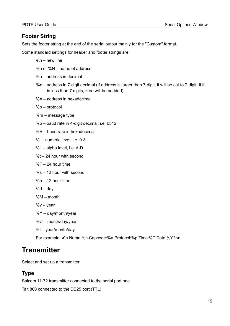#### <span id="page-18-2"></span>**Footer String**

Sets the footer string at the end of the serial output mainly for the "Custom" format.

Some standard settings for header and footer strings are:

- $\ln -$  new line
- %n or %N name of address
- %a address in decimal
- %c address in 7-digit decimal (If address is larger than 7-digit, it will be cut to 7-digit. If it is less than 7 digits, zero will be padded)
- %A address in hexadecimal
- %p protocol
- %m message type
- %b baud rate in 4-digit decimal, i.e. 0512
- %B baud rate in hexadecimal
- %l numeric level, i.e. 0-3
- %L alpha level, i.e. A-D
- %t 24 hour with second
- $%T 24$  hour time
- %s 12 hour with second
- %h 12 hour time
- $%d day$
- %M month
- $%y year$
- %Y day/month/year
- %U month/day/year
- %I year/month/day

For example: \r\n Name:%n Capcode:%a Protocol:%p Time:%T Date:%Y \r\n

### <span id="page-18-1"></span>**Transmitter**

Select and set up a transmitter

#### <span id="page-18-0"></span>**Type**

Salcom 11-72 transmitter connected to the serial port one

Tait 800 connected to the DB25 port (TTL)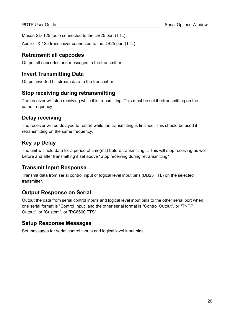Maxon SD-125 radio connected to the DB25 port (TTL)

Apollo TX-125 transceiver connected to the DB25 port (TTL)

#### <span id="page-19-7"></span>**Retransmit all capcodes**

Output all capcodes and messages to the transmitter

#### <span id="page-19-6"></span>**Invert Transmitting Data**

Output inverted bit stream data to the transmitter

#### <span id="page-19-5"></span>**Stop receiving during retransmitting**

The receiver will stop receiving while it is transmitting. This must be set if retransmitting on the same frequency.

#### <span id="page-19-4"></span>**Delay receiving**

The receiver will be delayed to restart while the transmitting is finished. This should be used if retransmitting on the same frequency.

#### <span id="page-19-3"></span>**Key up Delay**

The unit will hold data for a period of time(ms) before transmitting it. This will stop receiving as well before and after transmitting if set above "Stop receiving during retransmitting"

#### <span id="page-19-2"></span>**Transmit Input Response**

Transmit data from serial control input or logical level input pins (DB25 TTL) on the selected transmitter.

#### <span id="page-19-1"></span>**Output Response on Serial**

Output the data from serial control inputs and logical level input pins to the other serial port when one serial format is "Control Input" and the other serial format is "Control Output", or "TNPP Output", or "Custom", or "RC8660 TTS"

#### <span id="page-19-0"></span>**Setup Response Messages**

Set messages for serial control inputs and logical level input pins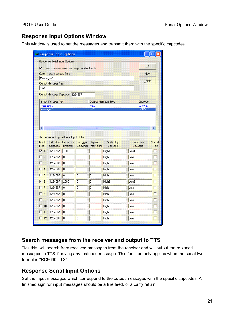#### <span id="page-20-2"></span>**Response Input Options Window**

This window is used to set the messages and transmit them with the specific capcodes.

|                              |                           | Response Input Options                   |                 |                                                   |                     |      |                    | $ \vert\Box\vert$ $\times$ |
|------------------------------|---------------------------|------------------------------------------|-----------------|---------------------------------------------------|---------------------|------|--------------------|----------------------------|
|                              |                           | <b>Response Serial Input Options</b>     |                 |                                                   |                     |      |                    |                            |
|                              |                           |                                          |                 | Ⅳ Search from recieved messages and output to TTS |                     |      | <b>OK</b>          |                            |
|                              | Catch Input Message Text  |                                          |                 |                                                   |                     |      | New                |                            |
| Message 2                    |                           |                                          |                 |                                                   |                     |      | Delete             |                            |
| $^{\sim}$ 82                 | Output Message Text       |                                          |                 |                                                   |                     |      |                    |                            |
|                              |                           |                                          |                 |                                                   |                     |      |                    |                            |
|                              |                           | Output Message Capcode 1234567           |                 |                                                   |                     |      |                    |                            |
|                              | <b>Input Message Text</b> |                                          |                 |                                                   | Output Message Text |      | Capcode            |                            |
| Message 1<br>Message 2       |                           |                                          |                 | ~581<br>~1.82                                     |                     |      | 1234567<br>1234567 |                            |
| $\left\langle \right\rangle$ |                           | Response for Logical Level Input Options |                 | an)                                               |                     |      |                    | $\rightarrow$              |
| Input                        |                           | Individual Debounce Retrigger            |                 | Repeat                                            | <b>State High</b>   |      | State Low          |                            |
| Pins<br>$\Box$               | Capcode<br>1234567        | Time[ms]<br>1000                         | Delay[ms]<br>۱o | Interval(ms)<br>$\overline{0}$                    | Message<br>High1    | Low1 | Message            | г                          |
| $\overline{c}$               | 1234567                   | I٥                                       | l0.             | 0                                                 | High                | Low  |                    |                            |
| 3                            | 1234567                   | lo.                                      | lo              | $\overline{0}$                                    | High                | Low  |                    |                            |
| $\overline{4}$               | 1234567                   | O                                        | o               | 0                                                 | High                | Low  |                    |                            |
| 5                            | 1234567                   | lo.                                      | o               | $\overline{0}$                                    | High                | Low  |                    |                            |
|                              | 1234567                   | 2000                                     | 0               | 0                                                 | High <sub>6</sub>   | Low6 |                    |                            |
| 7                            | 1234567                   | O.                                       | o               | 0                                                 | High                | Low  |                    |                            |
| 8                            | 1234567                   | lo.                                      | 0               | $\overline{0}$                                    | High                | Low  |                    |                            |
| $\overline{a}$               | 1234567                   | O                                        | ō               | $\overline{0}$                                    | High                | Low  |                    |                            |
| $\nabla$ 6<br>10             | 1234567                   | lo.                                      | 0               | $\overline{0}$                                    | High                | Low  |                    |                            |
| 一翻                           | 1234567                   | lo.                                      | O               | 0                                                 | High                | Low  |                    | Normal<br>High             |

#### <span id="page-20-1"></span>**Search messages from the receiver and output to TTS**

Tick this, will search from received messages from the receiver and will output the replaced messages to TTS if having any matched message. This function only applies when the serial two format is "RC8660 TTS".

#### <span id="page-20-0"></span>**Response Serial Input Options**

Set the input messages which correspond to the output messages with the specific capcodes. A finished sign for input messages should be a line feed, or a carry return.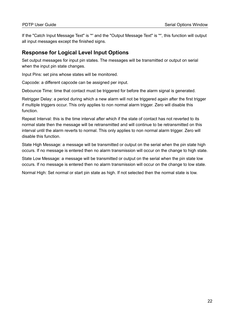If the "Catch Input Message Text" is '\*' and the "Output Message Text" is '\*', this function will output all input messages except the finished signs.

#### <span id="page-21-0"></span>**Response for Logical Level Input Options**

Set output messages for input pin states. The messages will be transmitted or output on serial when the input pin state changes.

Input Pins: set pins whose states will be monitored.

Capcode: a different capcode can be assigned per input.

Debounce Time: time that contact must be triggered for before the alarm signal is generated.

Retrigger Delay: a period during which a new alarm will not be triggered again after the first trigger if multiple triggers occur. This only applies to non normal alarm trigger. Zero will disable this function.

Repeat Interval: this is the time interval after which if the state of contact has not reverted to its normal state then the message will be retransmitted and will continue to be retransmitted on this interval until the alarm reverts to normal. This only applies to non normal alarm trigger. Zero will disable this function.

State High Message: a message will be transmitted or output on the serial when the pin state high occurs. If no message is entered then no alarm transmission will occur on the change to high state.

State Low Message: a message will be transmitted or output on the serial when the pin state low occurs. If no message is entered then no alarm transmission will occur on the change to low state.

Normal High: Set normal or start pin state as high. If not selected then the normal state is low.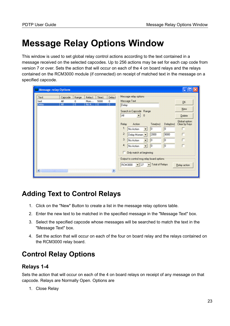# <span id="page-22-0"></span>**Message Relay Options Window**

This window is used to set global relay control actions according to the text contained in a message received on the selected capcodes. Up to 256 actions may be set for each cap code from version 7 or over. Sets the action that will occur on each of the 4 on board relays and the relays contained on the RCM3000 module (if connected) on receipt of matched text in the message on a specified capcode.

| Message-relay Options                          |                            |                       |                           |                               |                                                                       |                                                                                        |                  |                 |                                                        |
|------------------------------------------------|----------------------------|-----------------------|---------------------------|-------------------------------|-----------------------------------------------------------------------|----------------------------------------------------------------------------------------|------------------|-----------------|--------------------------------------------------------|
| Capcode<br>Text<br>test<br>All<br>Delay<br>All | Range<br>0<br>$\mathbf{0}$ | Relay1<br>Mom<br>No A | Time1<br>5000<br>$\bf{0}$ | Delay1<br>0<br>$\overline{0}$ | Message relay options<br>Message Text<br>Delay<br>İΑΙΙ<br>Relay<br>1: | Search in Capcode Range<br>$\Omega$<br>$\overline{\phantom{a}}$<br>Action<br>No Action | Time[ms]<br>10   | Delay(ms)<br>0  | QK<br>New<br>Delete<br>Global option:<br>Clear by Keys |
|                                                |                            |                       |                           |                               | 2:<br>3 <sup>°</sup><br>4 <sup>°</sup>                                | Delay Momen<br>No Action<br>No Action<br>÷                                             | 2000<br>10<br>10 | 9000<br>0<br>10 | и.<br>П                                                |
|                                                |                            |                       |                           |                               | <b>RCM3000</b>                                                        | Only match at beginning<br>Output to control msg relay board options<br>$\vert$ 27     | Total of Relays  |                 | Relay action                                           |

## <span id="page-22-3"></span>**Adding Text to Control Relays**

- 1. Click on the "New" Button to create a list in the message relay options table.
- 2. Enter the new text to be matched in the specified message in the "Message Text" box.
- 3. Select the specified capcode whose messages will be searched to match the text in the "Message Text" box.
- 4. Set the action that will occur on each of the four on board relay and the relays contained on the RCM3000 relay board.

## <span id="page-22-2"></span>**Control Relay Options**

#### <span id="page-22-1"></span>**Relays 1-4**

Sets the action that will occur on each of the 4 on board relays on receipt of any message on that capcode. Relays are Normally Open. Options are

1. Close Relay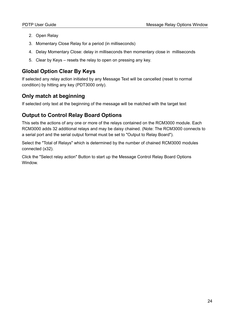- 2. Open Relay
- 3. Momentary Close Relay for a period (in milliseconds)
- 4. Delay Momentary Close: delay in milliseconds then momentary close in milliseconds
- 5. Clear by Keys resets the relay to open on pressing any key.

#### <span id="page-23-2"></span>**Global Option Clear By Keys**

If selected any relay action initiated by any Message Text will be cancelled (reset to normal condition) by hitting any key (PDT3000 only).

#### <span id="page-23-1"></span>**Only match at beginning**

If selected only text at the beginning of the message will be matched with the target text

#### <span id="page-23-0"></span>**Output to Control Relay Board Options**

This sets the actions of any one or more of the relays contained on the RCM3000 module. Each RCM3000 adds 32 additional relays and may be daisy chained. (Note: The RCM3000 connects to a serial port and the serial output format must be set to "Output to Relay Board").

Select the "Total of Relays" which is determined by the number of chained RCM3000 modules connected (x32).

Click the "Select relay action" Button to start up the Message Control Relay Board Options Window.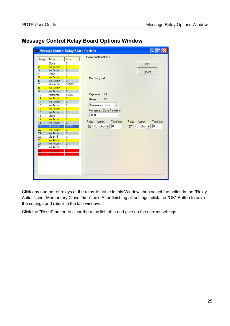|                         |                      |                         | Relay board options                                        |
|-------------------------|----------------------|-------------------------|------------------------------------------------------------|
| Relay                   | Action               | Time                    |                                                            |
| 1                       | Close                | 0                       | <b>OK</b>                                                  |
| $\overline{\mathbf{2}}$ | <b>No Action</b>     | $\overline{0}$          |                                                            |
| $\overline{\mathbf{3}}$ | No Action            | $\bf{0}$                | Reset                                                      |
| $\overline{4}$          | Open                 | $\overline{0}$          |                                                            |
| 5                       | No Action            | $\overline{0}$          | Matching text:                                             |
| 6                       | No Action            | $\sigma$                |                                                            |
| 7                       | Momenta              | 10000                   |                                                            |
| 8<br>9                  | No Action            | $\overline{0}$          |                                                            |
| 10                      | No Action<br>Momenta | $\mathbf{0}$<br>50000   | Capcode:<br>All                                            |
| 11                      | No Action            | $\overline{0}$          |                                                            |
| 12                      | No Action            | $\mathbf{0}$            | 19<br>Relay:                                               |
| 13                      | No Action            | 0                       | Momentary Close                                            |
| 14                      | No Action            | $\overline{0}$          |                                                            |
| 15                      | No Action            | $\mathbf 0$             | Momentary Close Time [ms]                                  |
| 16                      | Close                | $\overline{0}$          | 80000                                                      |
| 17                      | <b>No Action</b>     | $\overline{\mathbf{0}}$ |                                                            |
| 18                      | No Action            | $\mathbf 0$             | Action<br>Time[ms]<br>Relay<br>Action<br>Time[ms]<br>Relay |
| 19                      | Momenta              | 80000                   | o<br>$\vert 0 \vert$<br>26: No Action<br>27: No Action     |
| 20                      | <b>No Action</b>     | $\overline{0}$          |                                                            |
| 21                      | No Action            | $\mathbf 0$             |                                                            |
| 22                      | Clear All            | $\overline{0}$          |                                                            |
| 23                      | <b>No Action</b>     | $\overline{0}$          |                                                            |
| 24                      | No Action            | $\overline{0}$          |                                                            |
| 25                      | No Action            | 0                       |                                                            |
| 26                      | No Action            | $\bf{0}$                |                                                            |
| 27                      | <b>No Action</b>     | 'n                      |                                                            |
|                         |                      |                         |                                                            |
|                         |                      |                         |                                                            |
|                         |                      |                         |                                                            |

#### <span id="page-24-0"></span>**Message Control Relay Board Options Window**

Click any number of relays at the relay list table in this Window, then select the action in the "Relay Action" and "Momentary Close Time" box. After finishing all settings, click the "OK" Button to save the settings and return to the last window.

Click the "Reset" button to clear the relay list table and give up the current settings.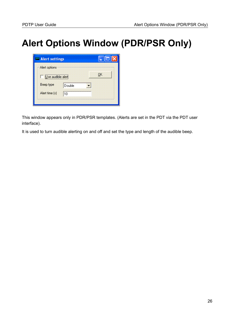# <span id="page-25-0"></span>**Alert Options Window (PDR/PSR Only)**

| Alert options     |        |                |
|-------------------|--------|----------------|
| Use audible alert |        | 0 <sub>K</sub> |
| Beep type         | Double |                |
| Alert time [s]    | 10     |                |

This window appears only in PDR/PSR templates. (Alerts are set in the PDT via the PDT user interface).

It is used to turn audible alerting on and off and set the type and length of the audible beep.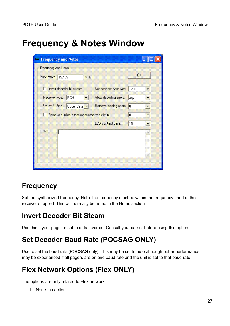# <span id="page-26-0"></span>**Frequency & Notes Window**

| <b>Frequency and Notes</b>                 |                             |     |  |
|--------------------------------------------|-----------------------------|-----|--|
| Frequency and Notes                        |                             |     |  |
| Frequency<br>157.95<br>MHz                 |                             | QK  |  |
| Invert decoder bit stream                  | Set decoder baud rate: 1200 |     |  |
| Receiver type:<br>RCM                      | Allow decoding errors:      | any |  |
| Format Output:<br>Upper Case               | Remove leading chars: 0     |     |  |
| Remove duplicate messages received within: |                             | 0   |  |
|                                            | LCD contrast base:          | 15  |  |
| <b>Notes</b>                               |                             |     |  |

## <span id="page-26-4"></span>**Frequency**

Set the synthesized frequency. Note: the frequency must be within the frequency band of the receiver supplied. This will normally be noted in the Notes section.

# <span id="page-26-3"></span>**Invert Decoder Bit Steam**

Use this if your pager is set to data inverted. Consult your carrier before using this option.

# <span id="page-26-2"></span>**Set Decoder Baud Rate (POCSAG ONLY)**

Use to set the baud rate (POCSAG only). This may be set to auto although better performance may be experienced if all pagers are on one baud rate and the unit is set to that baud rate.

# <span id="page-26-1"></span>**Flex Network Options (Flex ONLY)**

The options are only related to Flex network:

1. None: no action.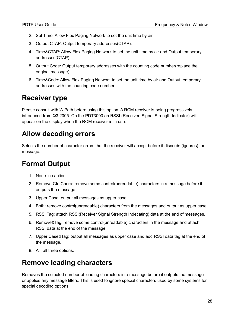- 2. Set Time: Allow Flex Paging Network to set the unit time by air.
- 3. Output CTAP: Output temporary addresses(CTAP).
- 4. Time&CTAP: Allow Flex Paging Network to set the unit time by air and Output temporary addresses(CTAP).
- 5. Output Code: Output temporary addresses with the counting code number(replace the original message).
- 6. Time&Code: Allow Flex Paging Network to set the unit time by air and Output temporary addresses with the counting code number.

# <span id="page-27-3"></span>**Receiver type**

Please consult with WiPath before using this option. A RCM receiver is being progressively introduced from Q3 2005. On the PDT3000 an RSSI (Received Signal Strength Indicator) will appear on the display when the RCM receiver is in use.

# <span id="page-27-2"></span>**Allow decoding errors**

Selects the number of character errors that the receiver will accept before it discards (ignores) the message.

# <span id="page-27-1"></span>**Format Output**

- 1. None: no action.
- 2. Remove Ctrl Chara: remove some control(unreadable) characters in a message before it outputs the message.
- 3. Upper Case: output all messages as upper case.
- 4. Both: remove control(unreadable) characters from the messages and output as upper case.
- 5. RSSI Tag: attach RSSI(Receiver Signal Strength Indecating) data at the end of messages.
- 6. Remove&Tag: remove some control(unreadable) characters in the message and attach RSSI data at the end of the message.
- 7. Upper Case&Tag: output all messages as upper case and add RSSI data tag at the end of the message.
- 8. All: all three options.

## <span id="page-27-0"></span>**Remove leading characters**

Removes the selected number of leading characters in a message before it outputs the message or applies any message filters. This is used to ignore special characters used by some systems for special decoding options.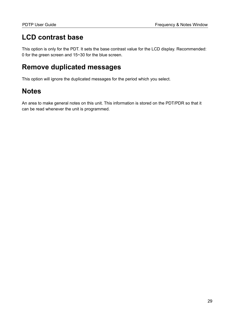# <span id="page-28-2"></span>**LCD contrast base**

This option is only for the PDT. It sets the base contrast value for the LCD display. Recommended: 0 for the green screen and 15~30 for the blue screen.

## <span id="page-28-1"></span>**Remove duplicated messages**

This option will ignore the duplicated messages for the period which you select.

## <span id="page-28-0"></span>**Notes**

An area to make general notes on this unit. This information is stored on the PDT/PDR so that it can be read whenever the unit is programmed.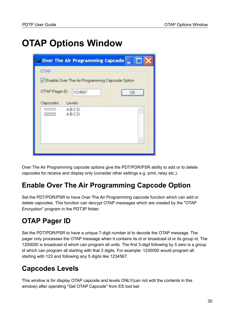# <span id="page-29-0"></span>**OTAP Options Window**

| $\blacksquare$ Over The Air Programming Capcode $\blacksquare$ |                                                |  |  |  |  |  |  |
|----------------------------------------------------------------|------------------------------------------------|--|--|--|--|--|--|
| OTAP                                                           |                                                |  |  |  |  |  |  |
|                                                                | Enable Over The Air Programming Capcode Option |  |  |  |  |  |  |
| OTAP Pager ID:<br>1234567                                      | OK                                             |  |  |  |  |  |  |
| Capcodes<br>Levels                                             |                                                |  |  |  |  |  |  |
| 111111<br>ABCD<br>222222<br>ABCD                               |                                                |  |  |  |  |  |  |
|                                                                |                                                |  |  |  |  |  |  |

Over The Air Programming capcode options give the PDT/PDR/PSR ability to add or to delete capcodes for receive and display only (consider other settings e.g. print, relay etc.).

## <span id="page-29-3"></span>**Enable Over The Air Programming Capcode Option**

Set the PDT/PDR/PSR to have Over The Air Programming capcode function which can add or delete capcodes. This function can decrypt OTAP messages which are created by the "OTAP Encryption" program in the PDT3P folder.

# <span id="page-29-2"></span>**OTAP Pager ID**

Set the PDT/PDR/PSR to have a unique 7-digit number id to decode the OTAP message. The pager only processes the OTAP message when it contains its id or broadcast id or its group id. The 1200000 is broadcast id which can program all units. The first 3-digit following by 5 zero is a group id which can program all starting with that 3 digits. For example: 1230000 would program all starting with 123 and following any 5 digits like 1234567.

## <span id="page-29-1"></span>**Capcodes Levels**

This window is for display OTAP capcode and levels ONLY(can not edit the contents in this window) after operating "Get OTAP Capcode" from ES tool bar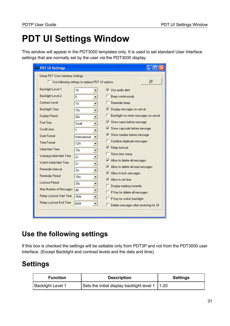# <span id="page-30-0"></span>**PDT UI Settings Window**

This window will appear in the PDT3000 templates only. It is used to set standard User Interface settings that are normally set by the user via the PDT3000 display.

| <b>PDT UI Settings</b>            |                                                          |   |     |                                        |  |  |  |  |  |
|-----------------------------------|----------------------------------------------------------|---|-----|----------------------------------------|--|--|--|--|--|
| Setup PDT User Interface Settings |                                                          |   |     |                                        |  |  |  |  |  |
|                                   | 0K<br>□ Use following settings to replace PDT UI options |   |     |                                        |  |  |  |  |  |
| Backlight Level 1                 | 18                                                       |   | ы   | Use audio alert                        |  |  |  |  |  |
| Backlight Level 2                 | 5                                                        |   |     | Beep continuously                      |  |  |  |  |  |
| <b>Contrast Level</b>             | 10                                                       |   |     | Reminder beep                          |  |  |  |  |  |
| <b>Backlight Time</b>             | 10s                                                      | ÷ | Г   | Display messages on arrival            |  |  |  |  |  |
| <b>Display Period</b>             | 30s                                                      |   |     | Backlight on when messages on arrival  |  |  |  |  |  |
| Font Size                         | Small                                                    | × | Г   | Show name before message               |  |  |  |  |  |
| <b>Scroll Lines</b>               | 1                                                        | ۳ | IV. | Show capcode before message            |  |  |  |  |  |
| Date Format                       | International                                            |   | Г   | Show number before message             |  |  |  |  |  |
| <b>Time Format</b>                | 12H                                                      |   |     | Combine duplicate messages             |  |  |  |  |  |
| Initial Alert Time                | 10 <sub>s</sub>                                          |   | IV. | Relay lockout                          |  |  |  |  |  |
| Warning Initial Alert Time        | 2s                                                       |   |     | Show time stamp                        |  |  |  |  |  |
| Watch Initial Alert Time          | 2s                                                       |   | IV. | Allow to delete all messages           |  |  |  |  |  |
| <b>Reminder Interval</b>          | 2m                                                       |   | г   | Allow to delete all read messages      |  |  |  |  |  |
| <b>Reminder Period</b>            | 15 <sub>m</sub>                                          | ż | lv. | Allow to lock messages                 |  |  |  |  |  |
| <b>Lockout Period</b>             | 30s                                                      |   | l.  | Allow to set time                      |  |  |  |  |  |
| Max Number of Messages            | 40                                                       | ÷ |     | Display maidrop instantly              |  |  |  |  |  |
| <b>Relay Lockout Start Time</b>   | 7PM                                                      |   |     | P Key for delete all messages          |  |  |  |  |  |
| Relay Lockout End Time            | 6AM                                                      |   |     | P Key for switch backlight             |  |  |  |  |  |
|                                   |                                                          |   |     | Delete messages after receiving for 24 |  |  |  |  |  |
|                                   |                                                          |   |     |                                        |  |  |  |  |  |

# <span id="page-30-2"></span>**Use the following settings**

If this box is checked the settings will be settable only from PDT3P and not from the PDT3000 user interface. (Except Backlight and contrast levels and the date and time).

# <span id="page-30-1"></span>**Settings**

| <b>Function</b>   | <b>Description</b>                                | <b>Settings</b> |
|-------------------|---------------------------------------------------|-----------------|
| Backlight Level 1 | Sets the initial display backlight level 1   1-20 |                 |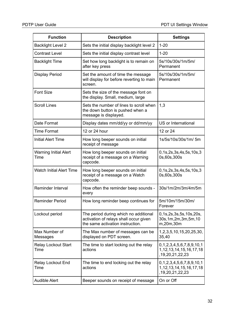| <b>Function</b>                      | <b>Description</b>                                                                                                  | <b>Settings</b>                                                                         |
|--------------------------------------|---------------------------------------------------------------------------------------------------------------------|-----------------------------------------------------------------------------------------|
| <b>Backlight Level 2</b>             | Sets the initial display backlight level 2                                                                          | $1 - 20$                                                                                |
| <b>Contrast Level</b>                | Sets the initial display contrast level                                                                             | $1 - 20$                                                                                |
| <b>Backlight Time</b>                | Set how long backlight is to remain on<br>after key press                                                           | 5s/10s/30s/1m/5m/<br>Permanent                                                          |
| <b>Display Period</b>                | Set the amount of time the message<br>will display for before reverting to main<br>screen.                          | 5s/10s/30s/1m/5m/<br>Permanent                                                          |
| <b>Font Size</b>                     | Sets the size of the message font on<br>the display. Small, medium, large                                           |                                                                                         |
| <b>Scroll Lines</b>                  | Sets the number of lines to scroll when<br>the down button is pushed when a<br>message is displayed.                | 1,3                                                                                     |
| Date Format                          | Display dates mm/dd/yy or dd/mm/yy                                                                                  | US or International                                                                     |
| <b>Time Format</b>                   | 12 or 24 hour                                                                                                       | 12 or 24                                                                                |
| <b>Initial Alert Time</b>            | How long beeper sounds on initial<br>receipt of message                                                             | 1s/5s/10s/30s/1m/ 5m                                                                    |
| <b>Warning Initial Alert</b><br>Time | How long beeper sounds on initial<br>receipt of a message on a Warning<br>capcode.                                  | 0, 1s, 2s, 3s, 4s, 5s, 10s, 3<br>0s,60s,300s                                            |
| <b>Watch Initial Alert Time</b>      | How long beeper sounds on initial<br>receipt of a message on a Watch<br>capcode.                                    | 0, 1s, 2s, 3s, 4s, 5s, 10s, 3<br>0s,60s,300s                                            |
| <b>Reminder Interval</b>             | How often the reminder beep sounds -<br>every                                                                       | 30s/1m/2m/3m/4m/5m                                                                      |
| <b>Reminder Period</b>               | How long reminder beep continues for                                                                                | 5m/10m/15m/30m/<br>Forever                                                              |
| Lockout period                       | The period during which no additional<br>activation of relays shall occur given<br>the same activation instruction. | 0, 1s, 2s, 3s, 5s, 10s, 20s,<br>30s, 1m, 2m, 3m, 5m, 10<br>m,20m,30m                    |
| Max Number of<br>Messages            | The Max number of messages can be<br>displayed on PDT screen.                                                       | 1, 2, 3, 5, 10, 15, 20, 25, 30,<br>35,40                                                |
| <b>Relay Lockout Start</b><br>Time   | The time to start locking out the relay<br>actions                                                                  | 0, 1, 2, 3, 4, 5, 6, 7, 8, 9, 10, 1<br>1, 12, 13, 14, 15, 16, 17, 18<br>,19,20,21,22,23 |
| <b>Relay Lockout End</b><br>Time     | The time to end locking out the relay<br>actions                                                                    | 0,1,2,3,4,5,6,7,8,9,10,1<br>1, 12, 13, 14, 15, 16, 17, 18<br>, 19, 20, 21, 22, 23       |
| <b>Audible Alert</b>                 | Beeper sounds on receipt of message                                                                                 | On or Off                                                                               |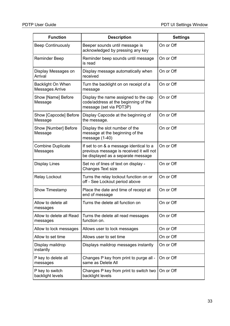| <b>Function</b>                                    | <b>Description</b>                                                                                                        | <b>Settings</b> |
|----------------------------------------------------|---------------------------------------------------------------------------------------------------------------------------|-----------------|
| <b>Beep Continuously</b>                           | Beeper sounds until message is<br>acknowledged by pressing any key                                                        | On or Off       |
| <b>Reminder Beep</b>                               | Reminder beep sounds until message<br>is read                                                                             | On or Off       |
| Display Messages on<br>Arrival                     | Display message automatically when<br>received                                                                            | On or Off       |
| <b>Backlight On When</b><br><b>Messages Arrive</b> | Turn the backlight on on receipt of a<br>message                                                                          | On or Off       |
| Show [Name] Before<br>Message                      | Display the name assigned to the cap<br>code/address at the beginning of the<br>message (set via PDT3P)                   | On or Off       |
| Show [Capcode] Before<br>Message                   | Display Capcode at the beginning of<br>the message.                                                                       | On or Off       |
| Show [Number] Before<br>Message                    | Display the slot number of the<br>message at the beginning of the<br>message (1-40)                                       | On or Off       |
| <b>Combine Duplicate</b><br>Messages               | If set to on & a message identical to a<br>previous message is received it will not<br>be displayed as a separate message | On or Off       |
| <b>Display Lines</b>                               | Set no of lines of text on display -<br>Changes Text size                                                                 | On or Off       |
| <b>Relay Lockout</b>                               | Turns the relay lockout function on or<br>off - See Lockout period above                                                  | On or Off       |
| Show Timestamp                                     | Place the date and time of receipt at<br>end of message                                                                   | On or Off       |
| Allow to delete all<br>messages                    | Turns the delete all function on                                                                                          | On or Off       |
| Allow to delete all Read<br>messages               | Turns the delete all read messages<br>function on.                                                                        | On or Off       |
| Allow to lock messages                             | Allows user to lock messages                                                                                              | On or Off       |
| Allow to set time                                  | Allows user to set time                                                                                                   | On or Off       |
| Display maildrop<br>instantly                      | Displays maildrop messages instantly                                                                                      | On or Off       |
| P key to delete all<br>messages                    | Changes P key from print to purge all -<br>same as Delete All                                                             | On or Off       |
| P key to switch<br>backlight levels                | Changes P key from print to switch two<br>backlight levels                                                                | On or Off       |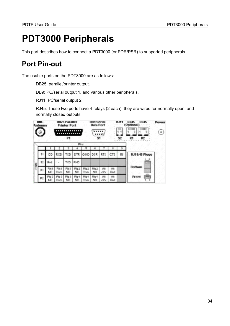# <span id="page-33-0"></span>**PDT3000 Peripherals**

This part describes how to connect a PDT3000 (or PDR/PSR) to supported peripherals.

## <span id="page-33-1"></span>**Port Pin-out**

The usable ports on the PDT3000 are as follows:

DB25: parallel/printer output.

DB9: PC/serial output 1, and various other peripherals.

RJ11: PC/serial output 2.

RJ45: These two ports have 4 relays (2 each), they are wired for normally open, and normally closed outputs.

| <b>BNC</b><br>Antenna<br>$\langle n \rangle$ |           |              |              | <b>DB25 Parallel</b><br><b>Printer Port</b><br><br>P <sub>1</sub> |                           |                         | <b>DB9 Serial</b><br><b>Data Port</b><br><br>S <sub>1</sub> |               |            | <b>RJ11</b><br>Ш<br>1.4<br>S <sub>2</sub> | <b>RJ45</b><br><b>RJ45</b><br>Power<br>(Optional)<br>8<br>٠<br>R <sub>2</sub><br>R <sub>1</sub> |
|----------------------------------------------|-----------|--------------|--------------|-------------------------------------------------------------------|---------------------------|-------------------------|-------------------------------------------------------------|---------------|------------|-------------------------------------------|-------------------------------------------------------------------------------------------------|
|                                              |           |              |              |                                                                   |                           | Pins                    |                                                             |               |            | з                                         |                                                                                                 |
|                                              | S1        | CD           | <b>RXD</b>   | <b>TXD</b>                                                        |                           | DTR GND DSR             |                                                             | <b>RTS</b>    | <b>CTS</b> | R1                                        | RJ11/45 Plugs                                                                                   |
|                                              | S2        | Gnd          |              | TXD.                                                              | <b>RXD</b>                |                         |                                                             |               |            |                                           | (mm)                                                                                            |
| Ports                                        | R1        | Rly1<br>NC.  | Rlu1<br>Com  | Plg 1<br>NO.                                                      | Pn <sub>1</sub> 2<br>NC.  | Pn <sub>12</sub><br>Com | Pm <sub>2</sub><br>NO.                                      | Alt<br>$-12v$ | Alt<br>Gnd |                                           | <b>Bottom</b>                                                                                   |
|                                              | <b>R2</b> | Rlu 3<br>NC. | Rly 3<br>Com | Rlu 3<br>NO.                                                      | $P_i$ <sub>4</sub><br>NC. | Pln 4<br>Com            | Pln 4<br>NO.                                                | Alt<br>$-12v$ | Alt<br>Gnd |                                           | Front<br>a                                                                                      |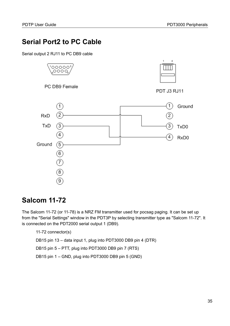## <span id="page-34-1"></span>**Serial Port2 to PC Cable**

Serial output 2 RJ11 to PC DB9 cable



## <span id="page-34-0"></span>**Salcom 11-72**

The Salcom 11-72 (or 11-78) is a NRZ FM transmitter used for pocsag paging. It can be set up from the "Serial Settings" window in the PDT3P by selecting transmitter type as "Salcom 11-72". It is connected on the PDT2000 serial output 1 (DB9).

11-72 connector(s)

DB15 pin 13 – data input 1, plug into PDT3000 DB9 pin 4 (DTR)

DB15 pin 5 – PTT, plug into PDT3000 DB9 pin 7 (RTS)

DB15 pin 1 – GND, plug into PDT3000 DB9 pin 5 (GND)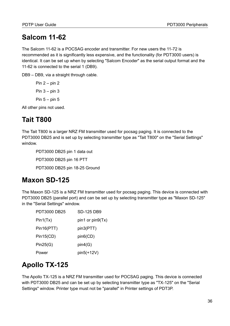# <span id="page-35-3"></span>**Salcom 11-62**

The Salcom 11-62 is a POCSAG encoder and transmitter. For new users the 11-72 is recommended as it is significantly less expensive, and the functionality (for PDT3000 users) is identical. It can be set up when by selecting "Salcom Encoder" as the serial output format and the 11-62 is connected to the serial 1 (DB9).

DB9 – DB9, via a straight through cable.

Pin  $2 - \pi$ Pin  $3 - \pi$  3 Pin  $5 - pin 5$ 

All other pins not used.

# <span id="page-35-2"></span>**Tait T800**

The Tait T800 is a larger NRZ FM transmitter used for pocsag paging. It is connected to the PDT3000 DB25 and is set up by selecting transmitter type as "Tait T800" on the "Serial Settings" window.

PDT3000 DB25 pin 1 data out

PDT3000 DB25 pin 16 PTT

PDT3000 DB25 pin 18-25 Ground

## <span id="page-35-1"></span>**Maxon SD-125**

The Maxon SD-125 is a NRZ FM transmitter used for pocsag paging. This device is connected with PDT3000 DB25 (parallel port) and can be set up by selecting transmitter type as "Maxon SD-125" in the "Serial Settings" window.

| PDT3000 DB25 | <b>SD-125 DB9</b> |
|--------------|-------------------|
| Pin1(Tx)     | pin1 or pin9(Tx)  |
| Pin16(PTT)   | pin3(PTT)         |
| Pin15(CD)    | pin6(CD)          |
| Pin25(G)     | pin4(G)           |
| Power        | pin5(+12V)        |

# <span id="page-35-0"></span>**Apollo TX-125**

The Apollo TX-125 is a NRZ FM transmitter used for POCSAG paging. This device is connected with PDT3000 DB25 and can be set up by selecting transmitter type as "TX-125" on the "Serial Settings" window. Printer type must not be "parallel" in Printer settings of PDT3P.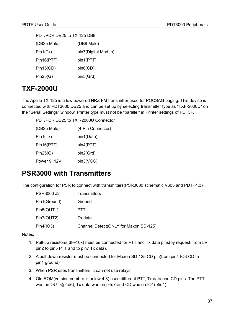| PDT/PDR DB25 to TX-125 DB9 |                      |  |  |  |  |
|----------------------------|----------------------|--|--|--|--|
| (DB25 Male)                | (DB9 Male)           |  |  |  |  |
| Pin1(Tx)                   | pin7(Digital Mod In) |  |  |  |  |
| Pin16(PTT)                 | pin1(PTT)            |  |  |  |  |
| Pin15(CD)                  | pin6(CD)             |  |  |  |  |
| Pin25(G)                   | pin5(Grd)            |  |  |  |  |

# <span id="page-36-1"></span>**TXF-2000U**

The Apollo TX-125 is a low powered NRZ FM transmitter used for POCSAG paging. This device is connected with PDT3000 DB25 and can be set up by selecting transmitter type as "TXF-2000U" on the "Serial Settings" window. Printer type must not be "parallel" in Printer settings of PDT3P.

PDT/PDR DB25 to TXF-2000U Connector

| (DB25 Male) | (4-Pin Connector) |
|-------------|-------------------|
| Pin1(Tx)    | pin1(Data)        |
| Pin16(PTT)  | pin4(PTT)         |
| Pin25(G)    | pin2(Grd)         |
| Power 9~12V | pin3(VCC)         |

### <span id="page-36-0"></span>**PSR3000 with Transmitters**

The configuration for PSR to connect with transmitters(PSR3000 schematic V605 and PDTP4.3)

| <b>PSR3000 J2</b> | <b>Transmitters</b>                   |
|-------------------|---------------------------------------|
| Pin1(Ground)      | Ground                                |
| Pin5(OUT1)        | <b>PTT</b>                            |
| Pin7(OUT2)        | Tx data                               |
| Pin4(IO3)         | Channel Detect(ONLY for Maxon SD-125) |

Notes:

- 1. Pull-up resistors( 3k~10k) must be connected for PTT and Tx data pins(by request: from 5V pin2 to pin5 PTT and to pin7 Tx data).
- 2. A pull-down resistor must be connected for Maxon SD-125 CD pin(from pin4 IO3 CD to pin1 ground)
- 3. When PSR uses transmitters, it can not use relays
- 4. Old ROM(version number is below 4.3) used different PTT, Tx data and CD pins. The PTT was on OUT3(p4d6), Tx data was on p4d7 and CD was on IO1(p5d1)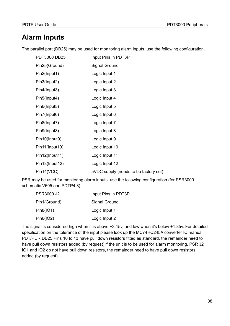## <span id="page-37-0"></span>**Alarm Inputs**

The parallel port (DB25) may be used for monitoring alarm inputs, use the following configuration.

| <b>PDT3000 DB25</b> | Input Pins in PDT3P                   |
|---------------------|---------------------------------------|
| Pin25(Ground)       | <b>Signal Ground</b>                  |
| Pin2(Input1)        | Logic Input 1                         |
| Pin3(Input2)        | Logic Input 2                         |
| Pin4(Input3)        | Logic Input 3                         |
| Pin5(Input4)        | Logic Input 4                         |
| Pin6(Input5)        | Logic Input 5                         |
| Pin7(Input6)        | Logic Input 6                         |
| Pin8(Input7)        | Logic Input 7                         |
| Pin9(Input8)        | Logic Input 8                         |
| Pin10(Input9)       | Logic Input 9                         |
| Pin11(Input10)      | Logic Input 10                        |
| Pin12(Input11)      | Logic Input 11                        |
| Pin13(Input12)      | Logic Input 12                        |
| Pin14(VCC)          | 5VDC supply (needs to be factory set) |

PSR may be used for monitoring alarm inputs, use the following configuration (for PSR3000 schematic V605 and PDTP4.3).

| <b>PSR3000 J2</b> | Input Pins in PDT3P |
|-------------------|---------------------|
| Pin1(Ground)      | Signal Ground       |
| Pin8(IO1)         | Logic Input 1       |
| Pin6(IO2)         | Logic Input 2       |

The signal is considered high when it is above +3.15v, and low when it's below +1.35v. For detailed specification on the tolerance of the input please look up the MC74HC245A converter IC manual. PDT/PDR DB25 Pins 10 to 13 have pull down resistors fitted as standard, the remainder need to have pull down resistors added (by request) if the unit is to be used for alarm monitoring. PSR J2 IO1 and IO2 do not have pull down resistors, the remainder need to have pull down resistors added (by request).